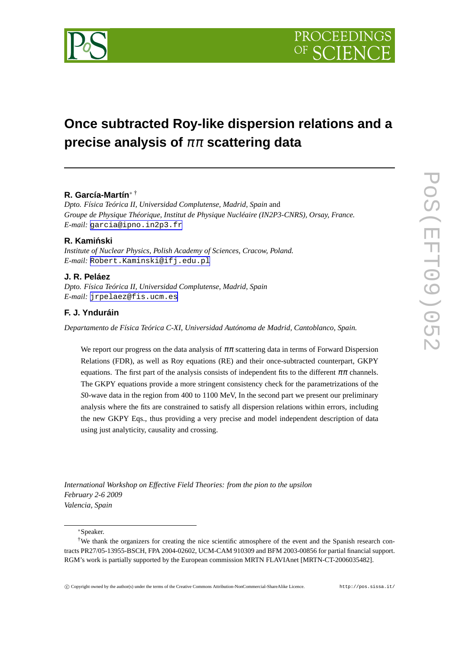

# **Once subtracted Roy-like dispersion relations and a precise analysis of** ππ **scattering data**

# **R. García-Martín**<sup>∗</sup> †

*Dpto. Física Teórica II, Universidad Complutense, Madrid, Spain* and *Groupe de Physique Théorique, Institut de Physique Nucléaire (IN2P3-CNRS), Orsay, France. E-mail:* [garcia@ipno.in2p3.fr](mailto:garcia@ipno.in2p3.fr)

## **R. Kaminski ´**

*Institute of Nuclear Physics, Polish Academy of Sciences, Cracow, Poland. E-mail:* [Robert.Kaminski@ifj.edu.pl](mailto:Robert.Kaminski@ifj.edu.pl)

## **J. R. Peláez**

*Dpto. Física Teórica II, Universidad Complutense, Madrid, Spain E-mail:* [jrpelaez@fis.ucm.es](mailto:jrpelaez@fis.ucm.es)

## **F. J. Ynduráin**

*Departamento de Física Teórica C-XI, Universidad Autónoma de Madrid, Cantoblanco, Spain.*

We report our progress on the data analysis of  $\pi\pi$  scattering data in terms of Forward Dispersion Relations (FDR), as well as Roy equations (RE) and their once-subtracted counterpart, GKPY equations. The first part of the analysis consists of independent fits to the different  $\pi\pi$  channels. The GKPY equations provide a more stringent consistency check for the parametrizations of the *S*0-wave data in the region from 400 to 1100 MeV, In the second part we present our preliminary analysis where the fits are constrained to satisfy all dispersion relations within errors, including the new GKPY Eqs., thus providing a very precise and model independent description of data using just analyticity, causality and crossing.

*International Workshop on Effective Field Theories: from the pion to the upsilon February 2-6 2009 Valencia, Spain*

∗Speaker.

<sup>†</sup>We thank the organizers for creating the nice scientific atmosphere of the event and the Spanish research contracts PR27/05-13955-BSCH, FPA 2004-02602, UCM-CAM 910309 and BFM 2003-00856 for partial financial support. RGM's work is partially supported by the European commission MRTN FLAVIAnet [MRTN-CT-2006035482].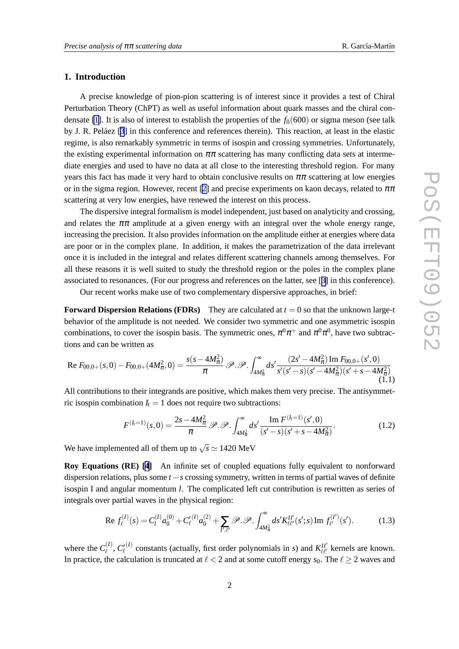## <span id="page-1-0"></span>**1. Introduction**

A precise knowledge of pion-pion scattering is of interest since it provides a test of Chiral Perturbation Theory (ChPT) as well as useful information about quark masses and the chiral con-densate [\[1\]](#page-4-0). It is also of interest to establish the properties of the  $f<sub>0</sub>(600)$  or sigma meson (see talk by J. R. Peláez [[3](#page-5-0)] in this conference and references therein). This reaction, at least in the elastic regime, is also remarkably symmetric in terms of isospin and crossing symmetries. Unfortunately, the existing experimental information on  $\pi\pi$  scattering has many conflicting data sets at intermediate energies and used to have no data at all close to the interesting threshold region. For many years this fact has made it very hard to obtain conclusive results on  $\pi\pi$  scattering at low energies or in the sigma region. However, recent [\[2\]](#page-4-0) and precise experiments on kaon decays, related to  $\pi\pi$ scattering at very low energies, have renewed the interest on this process.

The dispersive integral formalism is model independent, just based on analyticity and crossing, and relates the  $\pi\pi$  amplitude at a given energy with an integral over the whole energy range, increasing the precision. It also provides information on the amplitude either at energies where data are poor or in the complex plane. In addition, it makes the parametrization of the data irrelevant once it is included in the integral and relates different scattering channels among themselves. For all these reasons it is well suited to study the threshold region or the poles in the complex plane associated to resonances. (For our progress and references on the latter, see [[3](#page-5-0)] in this conference).

Our recent works make use of two complementary dispersive approaches, in brief:

**Forward Dispersion Relations (FDRs)** They are calculated at  $t = 0$  so that the unknown large-t behavior of the amplitude is not needed. We consider two symmetric and one asymmetric isospin combinations, to cover the isospin basis. The symmetric ones,  $\pi^0 \pi^+$  and  $\pi^0 \pi^0$ , have two subtractions and can be written as

Re 
$$
F_{00,0+}(s,0) - F_{00,0+}(4M_{\pi}^2,0) = \frac{s(s-4M_{\pi}^2)}{\pi} \mathcal{P} \cdot \mathcal{P} \cdot \int_{4M_{\pi}^2}^{\infty} ds' \frac{(2s'-4M_{\pi}^2) \operatorname{Im} F_{00,0+}(s',0)}{s'(s'-s)(s'-4M_{\pi}^2)(s'+s-4M_{\pi}^2)}
$$
(1.1)

All contributions to their integrands are positive, which makes them very precise. The antisymmetric isospin combination  $I_t = 1$  does not require two subtractions:

$$
F^{(l_1=1)}(s,0) = \frac{2s - 4M_{\pi}^2}{\pi} \mathscr{P} \cdot \mathscr{P} \cdot \int_{4M_{\pi}^2}^{\infty} ds' \frac{\operatorname{Im} F^{(l_1=1)}(s',0)}{(s'-s)(s'+s-4M_{\pi}^2)}.
$$
(1.2)

We have implemented all of them up to  $\sqrt{s} \simeq 1420 \text{ MeV}$ 

**Roy Equations (RE) [[4](#page-5-0)]** An infinite set of coupled equations fully equivalent to nonforward dispersion relations, plus some *t* −*s* crossing symmetry, written in terms of partial waves of definite isospin I and angular momentum *l*. The complicated left cut contribution is rewritten as series of integrals over partial waves in the physical region:

Re 
$$
f_{\ell}^{(I)}(s) = C_{l}^{(I)} a_{0}^{(0)} + C_{\ell}^{(I)} a_{0}^{(2)} + \sum_{I',\ell'} \mathcal{P} \cdot \mathcal{P} \cdot \int_{4M_{\pi}^{2}}^{\infty} ds' K_{\ell\ell'}^{II'}(s';s) \operatorname{Im} f_{\ell'}^{(I')}(s').
$$
 (1.3)

where the  $C_{\ell}^{(I)}$  $\ell^{\scriptscriptstyle{(I)}},\,C^{\prime}_{\ell}$  $^{(I)}$  constants (actually, first order polynomials in *s*) and  $K_{\ell\ell'}^{II'}$  kernels are known. In practice, the calculation is truncated at  $\ell < 2$  and at some cutoff energy  $s_0$ . The  $\ell \geq 2$  waves and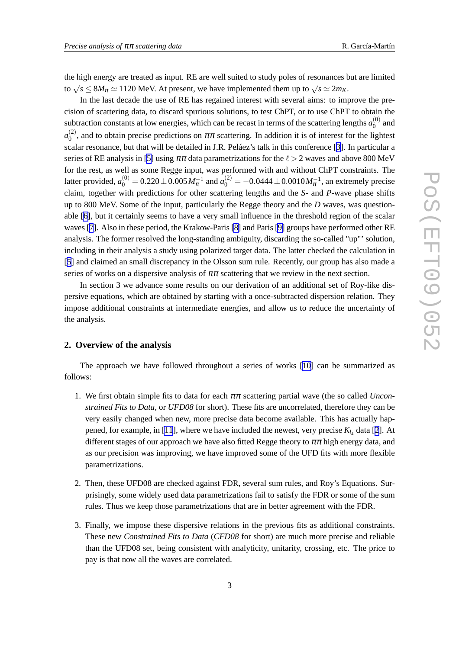the high energy are treated as input. RE are well suited to study poles of resonances but are limited to  $\sqrt{s} \le 8M_\pi \simeq 1120$  MeV. At present, we have implemented them up to  $\sqrt{s} \simeq 2m_K$ .

In the last decade the use of RE has regained interest with several aims: to improve the precision of scattering data, to discard spurious solutions, to test ChPT, or to use ChPT to obtain the subtraction constants at low energies, which can be recast in terms of the scattering lengths  $a_0^{(0)}$  $\binom{0}{0}$  and  $a_0^{(2)}$  $\binom{1}{0}$ , and to obtain precise predictions on  $\pi\pi$  scattering. In addition it is of interest for the lightest scalar resonance, but that will be detailed in J.R. Peláez's talk in this conference [[3](#page-5-0)]. In particular a series of RE analysis in [\[5\]](#page-5-0) using  $\pi\pi$  data parametrizations for the  $\ell > 2$  waves and above 800 MeV for the rest, as well as some Regge input, was performed with and without ChPT constraints. The latter provided,  $a_0^{(0)} = 0.220 \pm 0.005\,M_\pi^{-1}$  and  $a_0^{(2)} = -0.0444 \pm 0.0010\,M_\pi^{-1}$ , an extremely precise claim, together with predictions for other scattering lengths and the *S*- and *P*-wave phase shifts up to 800 MeV. Some of the input, particularly the Regge theory and the *D* waves, was questionable [\[6\]](#page-5-0), but it certainly seems to have a very small influence in the threshold region of the scalar waves [[7](#page-5-0)]. Also in these period, the Krakow-Paris [\[8\]](#page-5-0) and Paris [\[9\]](#page-5-0) groups have performed other RE analysis. The former resolved the long-standing ambiguity, discarding the so-called "up"' solution, including in their analysis a study using polarized target data. The latter checked the calculation in [[5](#page-5-0)] and claimed an small discrepancy in the Olsson sum rule. Recently, our group has also made a series of works on a dispersive analysis of  $\pi\pi$  scattering that we review in the next section.

In section 3 we advance some results on our derivation of an additional set of Roy-like dispersive equations, which are obtained by starting with a once-subtracted dispersion relation. They impose additional constraints at intermediate energies, and allow us to reduce the uncertainty of the analysis.

## **2. Overview of the analysis**

The approach we have followed throughout a series of works [\[10](#page-5-0)] can be summarized as follows:

- 1. We first obtain simple fits to data for each ππ scattering partial wave (the so called *Unconstrained Fits to Data*, or *UFD08* for short). These fits are uncorrelated, therefore they can be very easily changed when new, more precise data become available. This has actually hap-pened, for example, in [\[11](#page-5-0)], where we have included the newest, very precise  $K_{l_4}$  data [[2](#page-4-0)]. At different stages of our approach we have also fitted Regge theory to  $\pi\pi$  high energy data, and as our precision was improving, we have improved some of the UFD fits with more flexible parametrizations.
- 2. Then, these UFD08 are checked against FDR, several sum rules, and Roy's Equations. Surprisingly, some widely used data parametrizations fail to satisfy the FDR or some of the sum rules. Thus we keep those parametrizations that are in better agreement with the FDR.
- 3. Finally, we impose these dispersive relations in the previous fits as additional constraints. These new *Constrained Fits to Data* (*CFD08* for short) are much more precise and reliable than the UFD08 set, being consistent with analyticity, unitarity, crossing, etc. The price to pay is that now all the waves are correlated.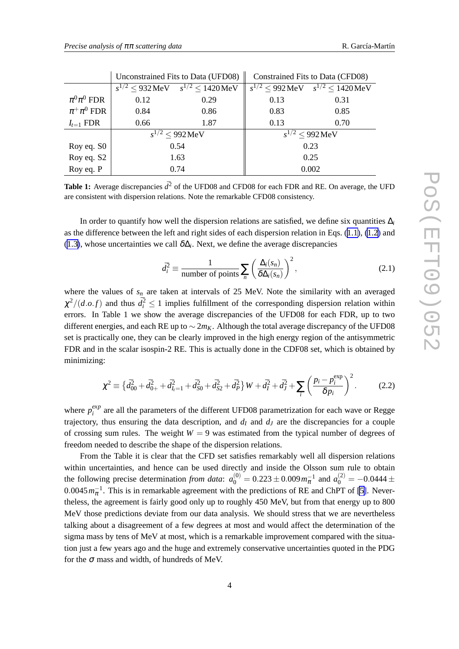|                  | Unconstrained Fits to Data (UFD08) |                               | Constrained Fits to Data (CFD08) |                               |
|------------------|------------------------------------|-------------------------------|----------------------------------|-------------------------------|
|                  | $^{2}$ < 932 MeV<br>$S^{1/2}$      | $s^{1/2} \le 1420 \text{MeV}$ | $s^{1/2}$ < 992 MeV              | $s^{1/2} \le 1420 \text{MeV}$ |
| $\pi^0\pi^0$ FDR | 0.12                               | 0.29                          | 0.13                             | 0.31                          |
| $\pi^+\pi^0$ FDR | 0.84                               | 0.86                          | 0.83                             | 0.85                          |
| $I_{t=1}$ FDR    | 0.66                               | 1.87                          | 0.13                             | 0.70                          |
|                  | $^{2}$ < 992 MeV                   |                               | $s^{1/2}$ < 992 MeV              |                               |
| Roy eq. S0       | 0.54                               |                               | 0.23                             |                               |
| Roy eq. S2       | 1.63                               |                               | 0.25                             |                               |
| Roy eq. P        | 0.74                               |                               | 0.002                            |                               |

| Unconstrained Fits to Data (UFD08) $\parallel$ Constrained Fits to Data (CFD08) |  |
|---------------------------------------------------------------------------------|--|
|                                                                                 |  |

**Table 1:** Average discrepancies  $d^2$  of the UFD08 and CFD08 for each FDR and RE. On average, the UFD are consistent with dispersion relations. Note the remarkable CFD08 consistency.

In order to quantify how well the dispersion relations are satisfied, we define six quantities ∆*<sup>i</sup>* as the difference between the left and right sides of each dispersion relation in Eqs. [\(1.1\)](#page-1-0), [\(1.2\)](#page-1-0) and ([1.3\)](#page-1-0), whose uncertainties we call  $\delta\Delta_i$ . Next, we define the average discrepancies

$$
\bar{d}_i^2 \equiv \frac{1}{\text{number of points}} \sum_n \left( \frac{\Delta_i(s_n)}{\delta \Delta_i(s_n)} \right)^2,\tag{2.1}
$$

where the values of  $s_n$  are taken at intervals of 25 MeV. Note the similarity with an averaged  $\chi^2/(d.o.f)$  and thus  $d_i^2 \leq 1$  implies fulfillment of the corresponding dispersion relation within errors. In Table 1 we show the average discrepancies of the UFD08 for each FDR, up to two different energies, and each RE up to ∼ 2*mK*. Although the total average discrepancy of the UFD08 set is practically one, they can be clearly improved in the high energy region of the antisymmetric FDR and in the scalar isospin-2 RE. This is actually done in the CDF08 set, which is obtained by minimizing:

$$
\chi^2 \equiv \left\{ \bar{d}_{00}^2 + \bar{d}_{0+}^2 + \bar{d}_{I_1=1}^2 + \bar{d}_{S0}^2 + \bar{d}_{S2}^2 + \bar{d}_P^2 \right\} W + \bar{d}_I^2 + \bar{d}_J^2 + \sum_i \left( \frac{p_i - p_i^{\text{exp}}}{\delta p_i} \right)^2.
$$
 (2.2)

where  $p_i^{exp}$  $\frac{exp}{i}$  are all the parameters of the different UFD08 parametrization for each wave or Regge trajectory, thus ensuring the data description, and  $d_I$  and  $d_J$  are the discrepancies for a couple of crossing sum rules. The weight  $W = 9$  was estimated from the typical number of degrees of freedom needed to describe the shape of the dispersion relations.

From the Table it is clear that the CFD set satisfies remarkably well all dispersion relations within uncertainties, and hence can be used directly and inside the Olsson sum rule to obtain the following precise determination *from data*:  $a_0^{(0)} = 0.223 \pm 0.009 m_{\pi}^{-1}$  and  $a_0^{(2)} = -0.0444 \pm 0.009 m_{\pi}^{-1}$  $0.0045 m_{\pi}^{-1}$ . This is in remarkable agreement with the predictions of RE and ChPT of [\[5\]](#page-5-0). Nevertheless, the agreement is fairly good only up to roughly 450 MeV, but from that energy up to 800 MeV those predictions deviate from our data analysis. We should stress that we are nevertheless talking about a disagreement of a few degrees at most and would affect the determination of the sigma mass by tens of MeV at most, which is a remarkable improvement compared with the situation just a few years ago and the huge and extremely conservative uncertainties quoted in the PDG for the  $\sigma$  mass and width, of hundreds of MeV.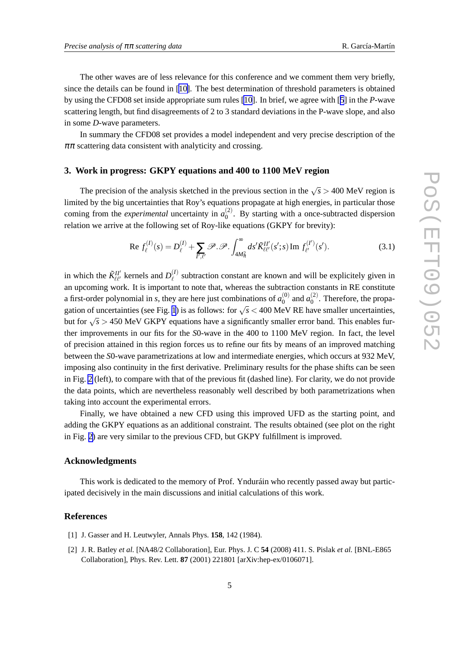<span id="page-4-0"></span>The other waves are of less relevance for this conference and we comment them very briefly, since the details can be found in [[10\]](#page-5-0). The best determination of threshold parameters is obtained by using the CFD08 set inside appropriate sum rules [\[10](#page-5-0)]. In brief, we agree with [[5](#page-5-0)] in the *P*-wave scattering length, but find disagreements of 2 to 3 standard deviations in the P-wave slope, and also in some *D*-wave parameters.

In summary the CFD08 set provides a model independent and very precise description of the  $\pi\pi$  scattering data consistent with analyticity and crossing.

#### **3. Work in progress: GKPY equations and 400 to 1100 MeV region**

The precision of the analysis sketched in the previous section in the  $\sqrt{s}$  > 400 MeV region is limited by the big uncertainties that Roy's equations propagate at high energies, in particular those coming from the *experimental* uncertainty in  $a_0^{(2)}$  $_{0}^{(2)}$ . By starting with a once-subtracted dispersion relation we arrive at the following set of Roy-like equations (GKPY for brevity):

Re 
$$
f_{\ell}^{(I)}(s) = D_{\ell}^{(I)} + \sum_{I',\ell'} \mathcal{P} \cdot \mathcal{P} \cdot \int_{4M_{\pi}^2}^{\infty} ds' \tilde{K}_{\ell\ell'}^{II'}(s';s) \operatorname{Im} f_{\ell'}^{(I')}(s').
$$
 (3.1)

in which the  $\tilde{K}^{II'}_{\ell\ell'}$  kernels and  $D^{(I)}_{\ell}$  $\ell^{(1)}$  subtraction constant are known and will be explicitely given in an upcoming work. It is important to note that, whereas the subtraction constants in RE constitute a first-order polynomial in *s*, they are here just combinations of  $a_0^{(0)}$  $_0^{(0)}$  and  $a_0^{(2)}$  $0^{(2)}$ . Therefore, the propa-gation of uncertainties (see Fig. [1](#page-5-0)) is as follows: for  $\sqrt{s}$  < 400 MeV RE have smaller uncertainties, but for  $\sqrt{s}$  > 450 MeV GKPY equations have a significantly smaller error band. This enables further improvements in our fits for the *S*0-wave in the 400 to 1100 MeV region. In fact, the level of precision attained in this region forces us to refine our fits by means of an improved matching between the *S*0-wave parametrizations at low and intermediate energies, which occurs at 932 MeV, imposing also continuity in the first derivative. Preliminary results for the phase shifts can be seen in Fig. [2](#page-5-0) (left), to compare with that of the previous fit (dashed line). For clarity, we do not provide the data points, which are nevertheless reasonably well described by both parametrizations when taking into account the experimental errors.

Finally, we have obtained a new CFD using this improved UFD as the starting point, and adding the GKPY equations as an additional constraint. The results obtained (see plot on the right in Fig. [2](#page-5-0)) are very similar to the previous CFD, but GKPY fulfillment is improved.

#### **Acknowledgments**

This work is dedicated to the memory of Prof. Ynduráin who recently passed away but participated decisively in the main discussions and initial calculations of this work.

#### **References**

- [1] J. Gasser and H. Leutwyler, Annals Phys. **158**, 142 (1984).
- [2] J. R. Batley *et al.* [NA48/2 Collaboration], Eur. Phys. J. C **54** (2008) 411. S. Pislak *et al.* [BNL-E865 Collaboration], Phys. Rev. Lett. **87** (2001) 221801 [arXiv:hep-ex/0106071].